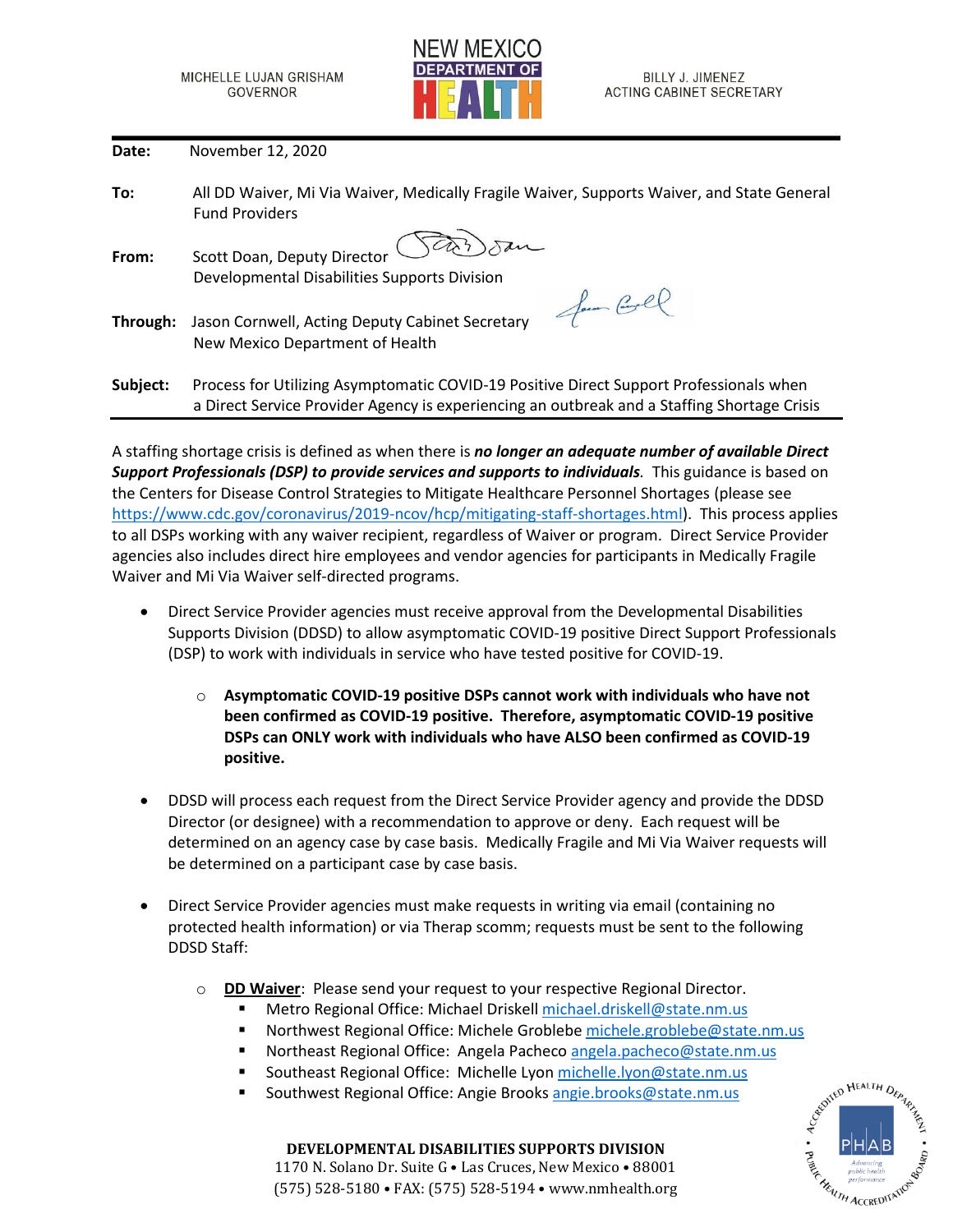

**Date:** November 12, 2020

| To:      | All DD Waiver, Mi Via Waiver, Medically Fragile Waiver, Supports Waiver, and State General<br><b>Fund Providers</b>                                                                   |
|----------|---------------------------------------------------------------------------------------------------------------------------------------------------------------------------------------|
| From:    | Scott Doan, Deputy Director                                                                                                                                                           |
|          | Developmental Disabilities Supports Division                                                                                                                                          |
| Through: | Jam Corel<br>Jason Cornwell, Acting Deputy Cabinet Secretary<br>New Mexico Department of Health                                                                                       |
| Subject: | Process for Utilizing Asymptomatic COVID-19 Positive Direct Support Professionals when<br>a Direct Service Provider Agency is experiencing an outbreak and a Staffing Shortage Crisis |

A staffing shortage crisis is defined as when there is *no longer an adequate number of available Direct Support Professionals (DSP) to provide services and supports to individuals.* This guidance is based on the Centers for Disease Control Strategies to Mitigate Healthcare Personnel Shortages (please see [https://www.cdc.gov/coronavirus/2019-ncov/hcp/mitigating-staff-shortages.html\)](https://www.cdc.gov/coronavirus/2019-ncov/hcp/mitigating-staff-shortages.html). This process applies to all DSPs working with any waiver recipient, regardless of Waiver or program. Direct Service Provider agencies also includes direct hire employees and vendor agencies for participants in Medically Fragile Waiver and Mi Via Waiver self-directed programs.

- Direct Service Provider agencies must receive approval from the Developmental Disabilities Supports Division (DDSD) to allow asymptomatic COVID-19 positive Direct Support Professionals (DSP) to work with individuals in service who have tested positive for COVID-19.
	- o **Asymptomatic COVID-19 positive DSPs cannot work with individuals who have not been confirmed as COVID-19 positive. Therefore, asymptomatic COVID-19 positive DSPs can ONLY work with individuals who have ALSO been confirmed as COVID-19 positive.**
- DDSD will process each request from the Direct Service Provider agency and provide the DDSD Director (or designee) with a recommendation to approve or deny. Each request will be determined on an agency case by case basis. Medically Fragile and Mi Via Waiver requests will be determined on a participant case by case basis.
- Direct Service Provider agencies must make requests in writing via email (containing no protected health information) or via Therap scomm; requests must be sent to the following DDSD Staff:
	- o **DD Waiver**: Please send your request to your respective Regional Director.
		- Metro Regional Office: Michael Driskell [michael.driskell@state.nm.us](mailto:michael.driskell@state.nm.us)
		- Northwest Regional Office: Michele Grobleb[e michele.groblebe@state.nm.us](mailto:michele.groblebe@state.nm.us)
		- Northeast Regional Office: Angela Pacheco [angela.pacheco@state.nm.us](mailto:angela.pacheco@state.nm.us)
		- Southeast Regional Office: Michelle Lyo[n michelle.lyon@state.nm.us](mailto:michelle.lyon@state.nm.us)
		- Southwest Regional Office: Angie Brooks [angie.brooks@state.nm.us](mailto:angie.brooks@state.nm.us)



**DEVELOPMENTAL DISABILITIES SUPPORTS DIVISION**

1170 N. Solano Dr. Suite G • Las Cruces, New Mexico • 88001 (575) 528-5180 • FAX: (575) 528-5194 • www.nmhealth.org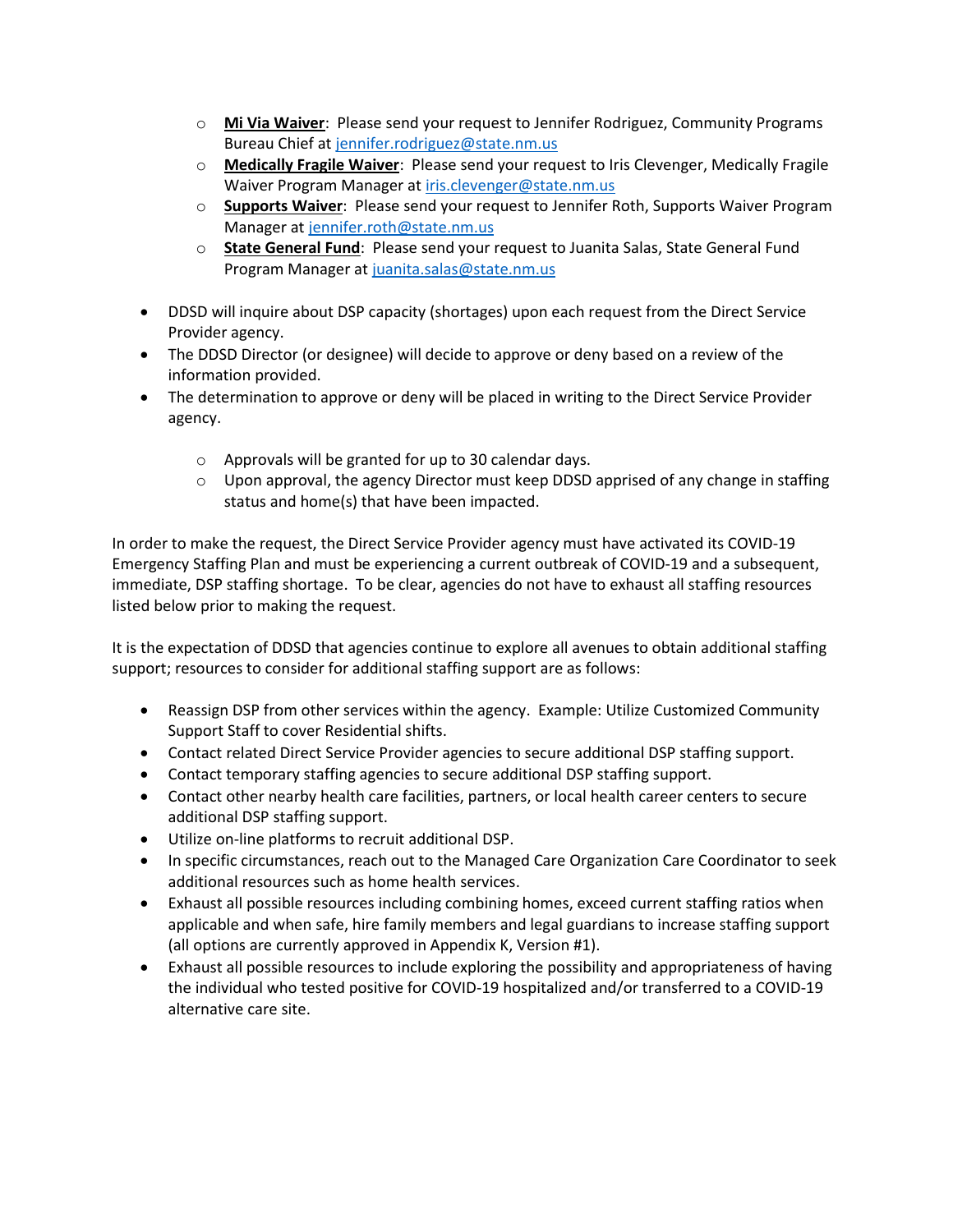- o **Mi Via Waiver**: Please send your request to Jennifer Rodriguez, Community Programs Bureau Chief a[t jennifer.rodriguez@state.nm.us](mailto:jennifer.rodriguez@state.nm.us)
- o **Medically Fragile Waiver**: Please send your request to Iris Clevenger, Medically Fragile Waiver Program Manager at [iris.clevenger@state.nm.us](mailto:iris.clevenger@state.nm.us)
- o **Supports Waiver**: Please send your request to Jennifer Roth, Supports Waiver Program Manager at [jennifer.roth@state.nm.us](mailto:jennifer.roth@state.nm.us)
- o **State General Fund**: Please send your request to Juanita Salas, State General Fund Program Manager at [juanita.salas@state.nm.us](mailto:juanita.salas@state.nm.us)
- DDSD will inquire about DSP capacity (shortages) upon each request from the Direct Service Provider agency.
- The DDSD Director (or designee) will decide to approve or deny based on a review of the information provided.
- The determination to approve or deny will be placed in writing to the Direct Service Provider agency.
	- o Approvals will be granted for up to 30 calendar days.
	- $\circ$  Upon approval, the agency Director must keep DDSD apprised of any change in staffing status and home(s) that have been impacted.

In order to make the request, the Direct Service Provider agency must have activated its COVID-19 Emergency Staffing Plan and must be experiencing a current outbreak of COVID-19 and a subsequent, immediate, DSP staffing shortage. To be clear, agencies do not have to exhaust all staffing resources listed below prior to making the request.

It is the expectation of DDSD that agencies continue to explore all avenues to obtain additional staffing support; resources to consider for additional staffing support are as follows:

- Reassign DSP from other services within the agency. Example: Utilize Customized Community Support Staff to cover Residential shifts.
- Contact related Direct Service Provider agencies to secure additional DSP staffing support.
- Contact temporary staffing agencies to secure additional DSP staffing support.
- Contact other nearby health care facilities, partners, or local health career centers to secure additional DSP staffing support.
- Utilize on-line platforms to recruit additional DSP.
- In specific circumstances, reach out to the Managed Care Organization Care Coordinator to seek additional resources such as home health services.
- Exhaust all possible resources including combining homes, exceed current staffing ratios when applicable and when safe, hire family members and legal guardians to increase staffing support (all options are currently approved in Appendix K, Version #1).
- Exhaust all possible resources to include exploring the possibility and appropriateness of having the individual who tested positive for COVID-19 hospitalized and/or transferred to a COVID-19 alternative care site.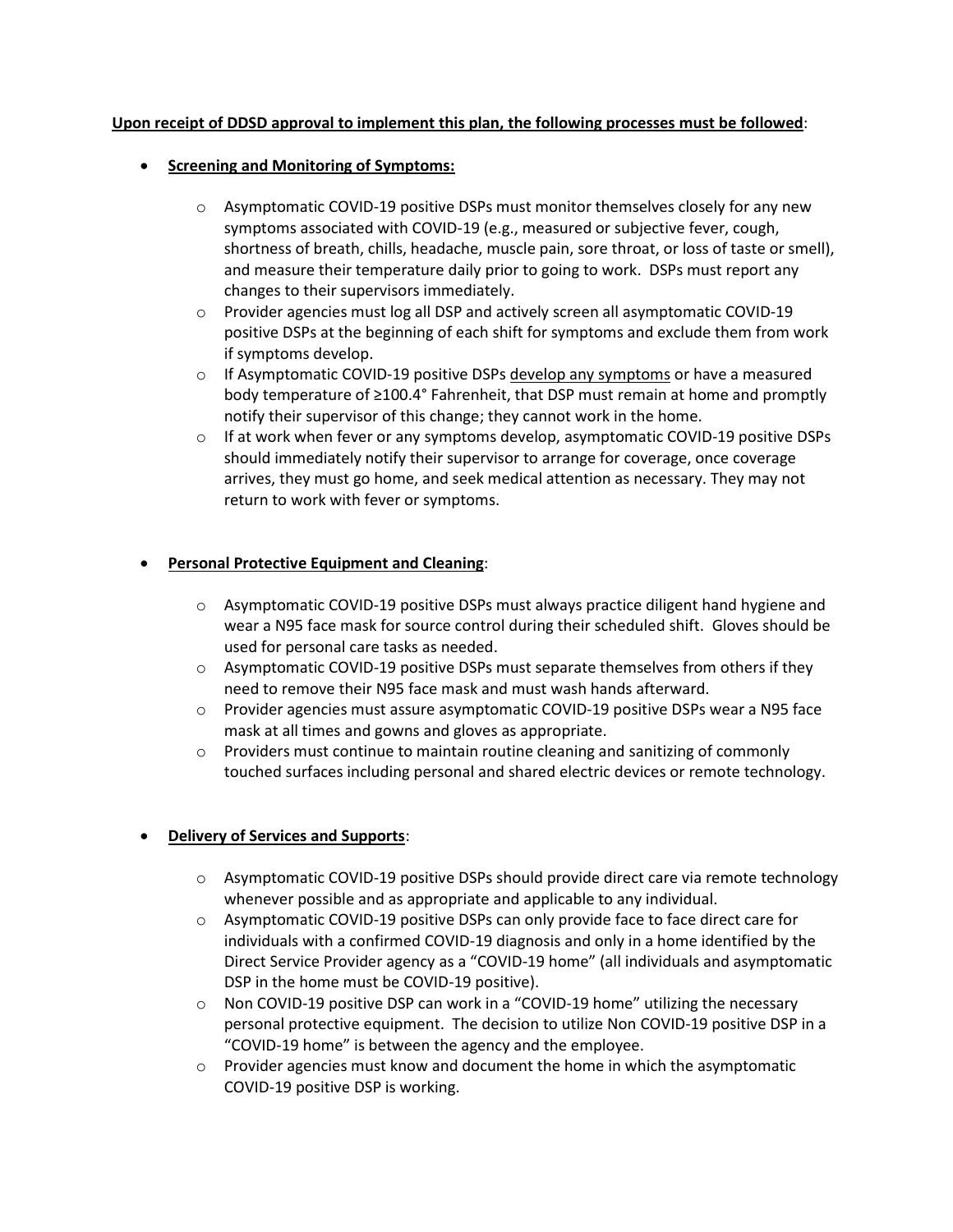## **Upon receipt of DDSD approval to implement this plan, the following processes must be followed**:

## • **Screening and Monitoring of Symptoms:**

- $\circ$  Asymptomatic COVID-19 positive DSPs must monitor themselves closely for any new symptoms associated with COVID-19 (e.g., measured or subjective fever, cough, shortness of breath, chills, headache, muscle pain, sore throat, or loss of taste or smell), and measure their temperature daily prior to going to work. DSPs must report any changes to their supervisors immediately.
- $\circ$  Provider agencies must log all DSP and actively screen all asymptomatic COVID-19 positive DSPs at the beginning of each shift for symptoms and exclude them from work if symptoms develop.
- $\circ$  If Asymptomatic COVID-19 positive DSPs develop any symptoms or have a measured body temperature of ≥100.4° Fahrenheit, that DSP must remain at home and promptly notify their supervisor of this change; they cannot work in the home.
- $\circ$  If at work when fever or any symptoms develop, asymptomatic COVID-19 positive DSPs should immediately notify their supervisor to arrange for coverage, once coverage arrives, they must go home, and seek medical attention as necessary. They may not return to work with fever or symptoms.

## • **Personal Protective Equipment and Cleaning**:

- $\circ$  Asymptomatic COVID-19 positive DSPs must always practice diligent hand hygiene and wear a N95 face mask for source control during their scheduled shift. Gloves should be used for personal care tasks as needed.
- $\circ$  Asymptomatic COVID-19 positive DSPs must separate themselves from others if they need to remove their N95 face mask and must wash hands afterward.
- $\circ$  Provider agencies must assure asymptomatic COVID-19 positive DSPs wear a N95 face mask at all times and gowns and gloves as appropriate.
- $\circ$  Providers must continue to maintain routine cleaning and sanitizing of commonly touched surfaces including personal and shared electric devices or remote technology.

## • **Delivery of Services and Supports**:

- $\circ$  Asymptomatic COVID-19 positive DSPs should provide direct care via remote technology whenever possible and as appropriate and applicable to any individual.
- $\circ$  Asymptomatic COVID-19 positive DSPs can only provide face to face direct care for individuals with a confirmed COVID-19 diagnosis and only in a home identified by the Direct Service Provider agency as a "COVID-19 home" (all individuals and asymptomatic DSP in the home must be COVID-19 positive).
- $\circ$  Non COVID-19 positive DSP can work in a "COVID-19 home" utilizing the necessary personal protective equipment. The decision to utilize Non COVID-19 positive DSP in a "COVID-19 home" is between the agency and the employee.
- $\circ$  Provider agencies must know and document the home in which the asymptomatic COVID-19 positive DSP is working.